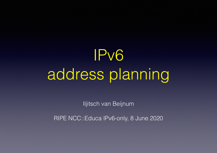## IPv6 address planning

Iljitsch van Beijnum

RIPE NCC::Educa IPv6-only, 8 June 2020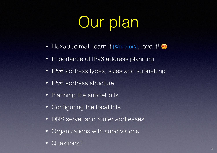#### Our plan

- Hexadecimal: learn it [\[WIKIPEDIA\]](https://en.wikipedia.org/wiki/Hexadecimal), love it!
- Importance of IPv6 address planning
- [IPv6 address types, sizes and subnetting](#page-4-0)
- [IPv6 address structure](#page-7-0)
- Planning the subnet bits
- [Configuring the local bits](#page-16-0)
- [DNS server and router addresses](#page-21-0)
- [Organizations with subdivisions](#page-24-0)
- [Questions?](#page-26-0)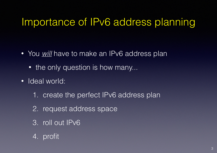#### <span id="page-2-0"></span>Importance of IPv6 address planning

- You *will* have to make an IPv6 address plan
	- the only question is how many...
- Ideal world:
	- 1. create the perfect IPv6 address plan
	- 2. request address space
	- 3. roll out IPv6
	- 4. profit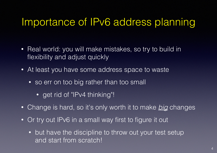#### Importance of IPv6 address planning

- Real world: you will make mistakes, so try to build in flexibility and adjust quickly
- At least you have some address space to waste
	- so err on too big rather than too small
		- get rid of "IPv4 thinking"!
- Change is hard, so it's only worth it to make *big* changes
- Or try out IPv6 in a small way first to figure it out
	- but have the discipline to throw out your test setup and start from scratch!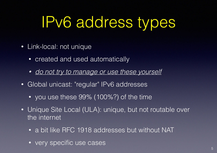#### <span id="page-4-0"></span>IPv6 address types

- Link-local: not unique
	- created and used automatically
	- *• do not try to manage or use these yourself*
- Global unicast: "regular" IPv6 addresses
	- you use these 99% (100%?) of the time
- Unique Site Local (ULA): unique, but not routable over the internet
	- a bit like RFC 1918 addresses but without NAT
	- very specific use cases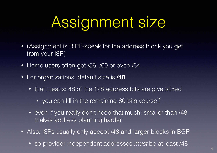### Assignment size

- (Assignment is RIPE-speak for the address block you get from your ISP)
- Home users often get /56, /60 or even /64
- For organizations, default size is **/48**
	- that means: 48 of the 128 address bits are given/fixed
		- you can fill in the remaining 80 bits yourself
	- even if you really don't need that much: smaller than /48 makes address planning harder
- Also: ISPs usually only accept /48 and larger blocks in BGP
	- so provider independent addresses *must* be at least /48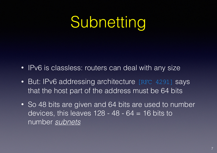#### Subnetting

- IPv6 is classless: routers can deal with any size
- But: IPv6 addressing architecture [\[RFC 4291\]](https://tools.ietf.org/html/rfc4291) says that the host part of the address must be 64 bits
- So 48 bits are given and 64 bits are used to number devices, this leaves  $128 - 48 - 64 = 16$  bits to number *subnets*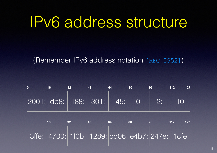#### <span id="page-7-0"></span>IPv6 address structure

(Remember IPv6 address notation [\[RFC 5952\]](https://tools.ietf.org/html/rfc5952))

|  | 32 | 64 | 80 | 96                                        | 127<br>112 |
|--|----|----|----|-------------------------------------------|------------|
|  |    |    |    | $ 2001: $ db8: $ 188: 301: 145: 0: 2: 10$ |            |

| 16 | 32 <sub>2</sub>                                             | 64 | 80 | 96 | 112 | 127 |
|----|-------------------------------------------------------------|----|----|----|-----|-----|
|    | 3ffe:  4700:   1f0b:   1289:   cd06:   e4b7:   247e:   1cfe |    |    |    |     |     |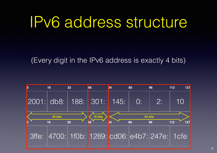#### IPv6 address structure

(Every digit in the IPv6 address is exactly 4 bits)

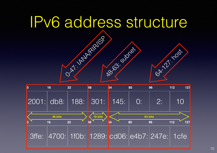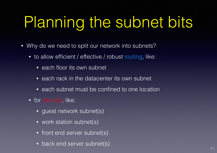## <span id="page-10-0"></span>Planning the subnet bits

- Why do we need to split our network into subnets?
	- to allow efficient / effective / robust routing, like:
		- each floor its own subnet
		- each rack in the datacenter its own subnet
		- each subnet must be confined to one location
	- for security, like:
		- guest network subnet(s)
		- work station subnet(s)
		- front end server subnet(s)
		- back end server subnet(s)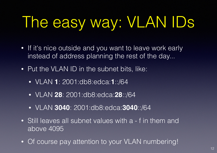# The easy way: VLAN IDs

- If it's nice outside and you want to leave work early instead of address planning the rest of the day...
- Put the VLAN ID in the subnet bits, like:
	- VLAN **1**: 2001:db8:edca:**1**::/64
	- VLAN **28**: 2001:db8:edca:**28**::/64
	- VLAN **3040**: 2001:db8:edca:**3040**::/64
- Still leaves all subnet values with a f in them and above 4095
- Of course pay attention to your VLAN numbering!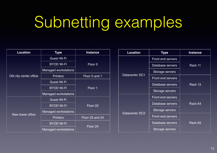## Subnetting examples

| <b>Location</b>        | <b>Type</b>                 | <b>Instance</b>     |  |  |
|------------------------|-----------------------------|---------------------|--|--|
|                        | <b>Guest Wi-Fi</b>          |                     |  |  |
|                        | <b>BYOD Wi-Fi</b>           | Floor 0             |  |  |
|                        | <b>Managed workstations</b> |                     |  |  |
| Old city center office | <b>Printers</b>             | Floor 0 and 1       |  |  |
|                        | <b>Guest Wi-Fi</b>          |                     |  |  |
|                        | <b>BYOD Wi-Fi</b>           | Floor 1             |  |  |
|                        | <b>Managed workstations</b> |                     |  |  |
|                        | <b>Guest Wi-Fi</b>          |                     |  |  |
|                        | <b>BYOD Wi-Fi</b>           | Floor <sub>23</sub> |  |  |
| New tower office       | <b>Managed workstations</b> |                     |  |  |
|                        | <b>Printers</b>             | Floor 23 and 24     |  |  |
|                        | <b>BYOD Wi-Fi</b>           |                     |  |  |
|                        | <b>Managed workstations</b> | Floor 24            |  |  |

| <b>Location</b> | Type                     | <b>Instance</b> |  |
|-----------------|--------------------------|-----------------|--|
|                 | <b>Front end servers</b> |                 |  |
|                 | Database servers         | Rack 11         |  |
|                 | Storage servers          |                 |  |
| Datacenter DC1  | <b>Front end servers</b> |                 |  |
|                 | Database servers         | Rack 13         |  |
|                 | Storage servers          |                 |  |
|                 | <b>Front end servers</b> |                 |  |
|                 | Database servers         | <b>Rack A4</b>  |  |
|                 | Storage servers          |                 |  |
| Datacenter DC2  | <b>Front end servers</b> |                 |  |
|                 | Database servers         | Rack A5         |  |
|                 | Storage servers          |                 |  |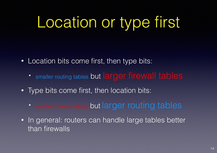### Location or type first

- Location bits come first, then type bits:
	- smaller routing tables but larger firewall tables
- Type bits come first, then location bits:
	- smaller firewall tables but larger routing tables
- In general: routers can handle large tables better than firewalls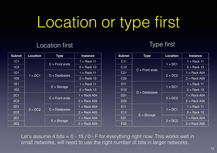### Location or type first

#### Location first Type first

| <b>Subnet</b>   | <b>Location</b> | <b>Type</b>      | <b>Instance</b> | <b>Subnet</b>   | <b>Type</b>      | <b>Location</b> | <b>Instance</b> |
|-----------------|-----------------|------------------|-----------------|-----------------|------------------|-----------------|-----------------|
| <b>1C1</b>      |                 | $C =$ Front ends | $1 =$ Rack 11   | C <sub>11</sub> | $C =$ Front ends | $1 = DC1$       | $1 =$ Rack 11   |
| 1C <sub>2</sub> |                 |                  | $2 =$ Rack 13   | C12             |                  |                 | $2 =$ Rack 13   |
| 1D1             |                 | $D =$ Databases  | $1 =$ Rack 11   | C <sub>21</sub> |                  | $2 = DC2$       | $=$ Rack A04    |
| 1D2             | $1 = DC1$       |                  | $2 =$ Rack 13   | C <sub>22</sub> |                  |                 | $2 =$ Rack A05  |
| 1E1             |                 | $E =$ Storage    | $1 =$ Rack 11   | D <sub>11</sub> | $D =$ Databases  | $1 = DC1$       | $1 =$ Rack 11   |
| 1E2             |                 |                  | $2 =$ Rack 13   | D <sub>12</sub> |                  |                 | $2 =$ Rack 13   |
| <b>2C1</b>      | $2 = DC2$       |                  | $1 =$ Rack A04  | D <sub>21</sub> |                  | $2 = DC2$       | $1 =$ Rack A04  |
| <b>2C2</b>      |                 | $C =$ Front ends | $2 =$ Rack A05  | D <sub>22</sub> |                  |                 | $2 =$ Rack A05  |
| <b>2D1</b>      |                 | $D =$ Databases  | 1 = Rack A04    | E <sub>11</sub> | $E =$ Storage    | $1 = DC1$       | $1 =$ Rack 11   |
| 2D <sub>2</sub> |                 |                  | $2 =$ Rack A05  | E <sub>12</sub> |                  |                 | $2 =$ Rack 13   |
| <b>2E1</b>      |                 |                  | $1 =$ Rack A04  | E21             |                  |                 | $=$ Rack A04    |
| 2E2             |                 |                  | $E =$ Storage   | $2 =$ Rack A05  | E22              |                 | $2 = DC2$       |

Let's assume 4 bits  $= 0 - 15 / 0 - F$  for everything right now. This works well in small networks, will need to use the right number of bits in larger networks.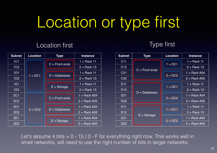### Location or type first

#### Location first Type first

| <b>Subnet</b>   | Location | <b>Type</b>                                                                                                                               | <b>Instance</b> | <b>Subnet</b>   | <b>Type</b>                                                                                                | Location                 | <b>Instance</b> |
|-----------------|----------|-------------------------------------------------------------------------------------------------------------------------------------------|-----------------|-----------------|------------------------------------------------------------------------------------------------------------|--------------------------|-----------------|
| 1C1             |          | <br>$C =$ Front ends<br>,,,,,,,,,,,,,,,,                                                                                                  | $1 =$ Rack 11   | C <sub>11</sub> | ---------------<br>$C =$ Front ends<br>,<br><br>$D =$ Databases<br>.<br>.<br>$E =$ Storage<br>, <b>.</b> . | $1 = DC1$                | $1 =$ Rack 11   |
| 1C <sub>2</sub> |          |                                                                                                                                           | $2 =$ Rack 13   | C <sub>12</sub> |                                                                                                            |                          | $2 =$ Rack 13   |
| 1D1             |          | .                                                                                                                                         | $1 =$ Rack 11   | C <sub>21</sub> |                                                                                                            | $2 = DC2$                | $1 =$ Rack A04  |
| 1D2             | $= DC1$  | $D =$ Databases<br>, , , , , , , , , , , , , , , , ,                                                                                      | $2 =$ Rack 13   | C <sub>22</sub> |                                                                                                            |                          | $2 =$ Rack A05  |
| 1E1             |          | ,,,,,,,,,,,,,,,,<br>$E =$ Storage                                                                                                         | $1 =$ Rack 11   | D <sub>11</sub> |                                                                                                            | .<br>$1 = DC1$           | $1 =$ Rack 11   |
| 1E2             |          | .                                                                                                                                         | $2 =$ Rack 13   | D <sub>12</sub> |                                                                                                            |                          | $2 =$ Rack 13   |
| <b>2C1</b>      |          | ,,,,,,,,,,,,,,,,<br>$C =$ Front ends<br>, , , , , , , , , , , , , , , , ,<br>.<br>$\overline{2}$ = DC2<br>$D =$ Databases<br>, <b>.</b> . | $1 =$ Rack A04  | D <sub>21</sub> |                                                                                                            | $2 = DC2$                | $1 =$ Rack A04  |
| <b>2C2</b>      |          |                                                                                                                                           | $2 =$ Rack A05  | D <sub>22</sub> |                                                                                                            |                          | $2 =$ Rack A05  |
| 2D1             |          |                                                                                                                                           | $1 =$ Rack A04  | E <sub>11</sub> |                                                                                                            | .<br>$1 = DC1$<br>.<br>. | $1 =$ Rack 11   |
| 2D <sub>2</sub> |          |                                                                                                                                           | $2 =$ Rack A05  | E12             |                                                                                                            |                          | $2 =$ Rack 13   |
| 2E1             |          | ,,,,,,,,,,,,,,,,,<br>$E =$ Storage<br>.                                                                                                   | $1 =$ Rack A04  | E21             |                                                                                                            |                          | $1 =$ Rack A04  |
| <b>2E2</b>      |          |                                                                                                                                           | $2 =$ Rack A05  | E22             |                                                                                                            | $2 = DC2$<br>.           | $2 =$ Rack A05  |

Let's assume 4 bits  $= 0 - 15 / 0 - F$  for everything right now. This works well in small networks, will need to use the right number of bits in larger networks.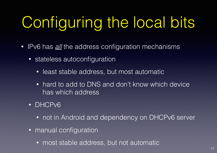# <span id="page-16-0"></span>Configuring the local bits

- IPv6 has *all* the address configuration mechanisms
	- stateless autoconfiguration
		- least stable address, but most automatic
		- hard to add to DNS and don't know which device has which address
	- DHCPv6
		- not in Android and dependency on DHCPv6 server
	- manual configuration
		- most stable address, but not automatic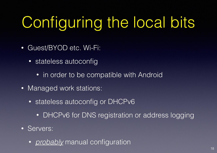# Configuring the local bits

- Guest/BYOD etc. Wi-Fi:
	- stateless autoconfig
		- in order to be compatible with Android
- Managed work stations:
	- stateless autoconfig or DHCPv6
		- DHCPv6 for DNS registration or address logging
- Servers:
	- *probably* manual configuration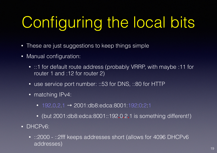# Configuring the local bits

- These are just suggestions to keep things simple
- Manual configuration:
	- ::1 for default route address (probably VRRP, with maybe :11 for router 1 and :12 for router 2)
	- use service port number: ::53 for DNS, ::80 for HTTP
	- matching IPv4:
		- $192.0.2.1$  → 2001:db8:edca:8001:192:0:2:1
		- (but 2001:db8:edca:8001::192**.**0**.**2**.**1 is something different!)
- DHCPv6:
	- ::2000 ::2fff keeps addresses short (allows for 4096 DHCPv6 addresses)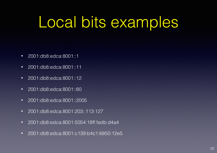#### Local bits examples

- 2001:db8:edca:8001::1
- 2001:db8:edca:8001::11
- 2001:db8:edca:8001::12
- 2001:db8:edca:8001::80
- 2001:db8:edca:8001::2005
- 2001:db8:edca:8001:203::113:127
- 2001:db8:edca:8001:5054:18ff:fedb:d4a4
- 2001:db8:edca:8001:c139:b4c1:6850:12e5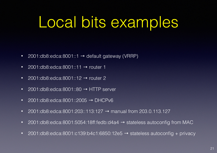#### Local bits examples

- 2001:db8:edca:8001::1  $\rightarrow$  default gateway (VRRP)
- 2001:db8:edca:8001::11 → router 1
- 2001:db8:edca:8001::12  $\rightarrow$  router 2
- 2001:db8:edca:8001::80  $\rightarrow$  HTTP server
- 2001:db8:edca:8001::2005 → DHCPv6
- 2001:db8:edca:8001:203::113:127  $\rightarrow$  manual from 203.0.113.127
- 2001:db8:edca:8001:5054:18ff:fedb:d4a4 → stateless autoconfig from MAC
- 2001:db8:edca:8001:c139:b4c1:6850:12e5  $\rightarrow$  stateless autoconfig + privacy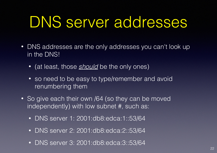#### <span id="page-21-0"></span>DNS server addresses

- DNS addresses are the only addresses you can't look up in the DNS!
	- (at least, those *should* be the only ones)
	- so need to be easy to type/remember and avoid renumbering them
- So give each their own /64 (so they can be moved independently) with low subnet #, such as:
	- DNS server 1: 2001:db8:edca:1::53/64
	- DNS server 2: 2001:db8:edca:2::53/64
	- DNS server 3: 2001:db8:edca:3::53/64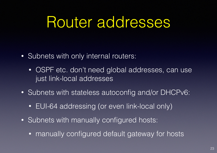#### Router addresses

- Subnets with only internal routers:
	- OSPF etc. don't need global addresses, can use just link-local addresses
- Subnets with stateless autoconfig and/or DHCPv6:
	- EUI-64 addressing (or even link-local only)
- Subnets with manually configured hosts:
	- manually configured default gateway for hosts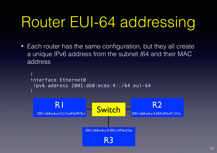#### Router EUI-64 addressing

• Each router has the same configuration, but they all create a unique IPv6 address from the subnet /64 and their MAC address

```
! 
interface Ethernet0 
  ipv6 address 2001:db8:ecda:4::/64 eui-64 
!
           R1
   2001:db8:edca:4:213:ceff:fe09:9a1
                                                           R2
                                                 2001:db8:edca:4:204:aff:fed7:1316
                          2001:db8:edca:4:283:1eff:fea3:faa
                                    R3
                                Switch
```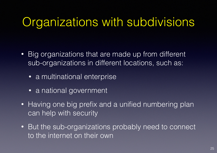#### <span id="page-24-0"></span>Organizations with subdivisions

- Big organizations that are made up from different sub-organizations in different locations, such as:
	- a multinational enterprise
	- a national government
- Having one big prefix and a unified numbering plan can help with security
- But the sub-organizations probably need to connect to the internet on their own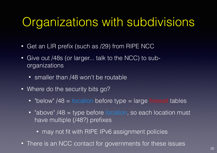#### Organizations with subdivisions

- Get an LIR prefix (such as /29) from RIPE NCC
- Give out /48s (or larger... talk to the NCC) to suborganizations
	- smaller than /48 won't be routable
- Where do the security bits go?
	- "below" /48 = location before type = large firewall tables
	- "above" /48 = type before location, so each location must have multiple (/48?) prefixes
		- may not fit with RIPE IPv6 assignment policies
- There is an NCC contact for governments for these issues